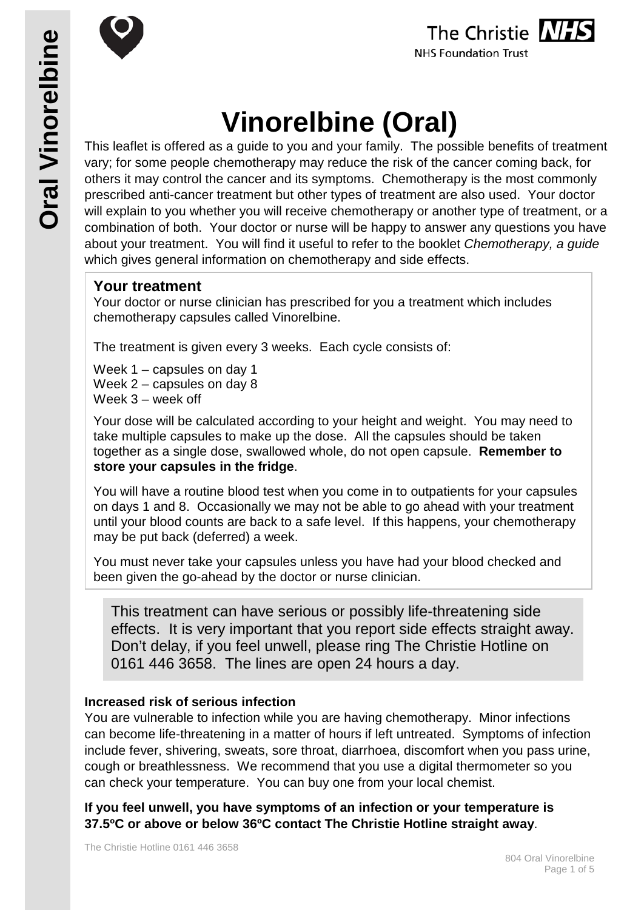



# **Vinorelbine (Oral)**

This leaflet is offered as a guide to you and your family. The possible benefits of treatment vary; for some people chemotherapy may reduce the risk of the cancer coming back, for others it may control the cancer and its symptoms. Chemotherapy is the most commonly prescribed anti-cancer treatment but other types of treatment are also used. Your doctor will explain to you whether you will receive chemotherapy or another type of treatment, or a combination of both. Your doctor or nurse will be happy to answer any questions you have about your treatment. You will find it useful to refer to the booklet *Chemotherapy, a guide* which gives general information on chemotherapy and side effects.

# **Your treatment**

Your doctor or nurse clinician has prescribed for you a treatment which includes chemotherapy capsules called Vinorelbine.

The treatment is given every 3 weeks. Each cycle consists of:

Week 1 – capsules on day 1 Week 2 – capsules on day 8 Week 3 – week off

Your dose will be calculated according to your height and weight. You may need to take multiple capsules to make up the dose. All the capsules should be taken together as a single dose, swallowed whole, do not open capsule. **Remember to store your capsules in the fridge**.

You will have a routine blood test when you come in to outpatients for your capsules on days 1 and 8. Occasionally we may not be able to go ahead with your treatment until your blood counts are back to a safe level. If this happens, your chemotherapy may be put back (deferred) a week.

You must never take your capsules unless you have had your blood checked and been given the go-ahead by the doctor or nurse clinician.

This treatment can have serious or possibly life-threatening side effects. It is very important that you report side effects straight away. Don't delay, if you feel unwell, please ring The Christie Hotline on 0161 446 3658. The lines are open 24 hours a day.

#### **Increased risk of serious infection**

You are vulnerable to infection while you are having chemotherapy. Minor infections can become life-threatening in a matter of hours if left untreated. Symptoms of infection include fever, shivering, sweats, sore throat, diarrhoea, discomfort when you pass urine, cough or breathlessness. We recommend that you use a digital thermometer so you can check your temperature. You can buy one from your local chemist.

**If you feel unwell, you have symptoms of an infection or your temperature is 37.5ºC or above or below 36ºC contact The Christie Hotline straight away**.

The Christie Hotline 0161 446 3658

**Oral Vinorelbine**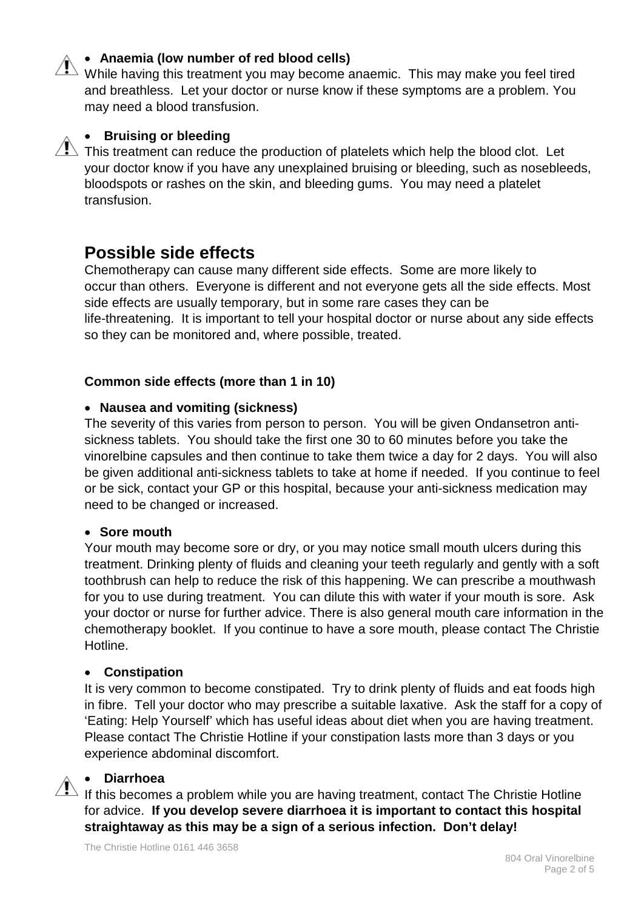### • **Anaemia (low number of red blood cells)**

While having this treatment you may become anaemic. This may make you feel tired and breathless. Let your doctor or nurse know if these symptoms are a problem. You may need a blood transfusion.

#### • **Bruising or bleeding**

 $\overline{\mathcal{L}}$  This treatment can reduce the production of platelets which help the blood clot. Let your doctor know if you have any unexplained bruising or bleeding, such as nosebleeds, bloodspots or rashes on the skin, and bleeding gums. You may need a platelet transfusion.

# **Possible side effects**

Chemotherapy can cause many different side effects. Some are more likely to occur than others. Everyone is different and not everyone gets all the side effects. Most side effects are usually temporary, but in some rare cases they can be life-threatening. It is important to tell your hospital doctor or nurse about any side effects so they can be monitored and, where possible, treated.

#### **Common side effects (more than 1 in 10)**

#### • **Nausea and vomiting (sickness)**

The severity of this varies from person to person. You will be given Ondansetron antisickness tablets. You should take the first one 30 to 60 minutes before you take the vinorelbine capsules and then continue to take them twice a day for 2 days. You will also be given additional anti-sickness tablets to take at home if needed. If you continue to feel or be sick, contact your GP or this hospital, because your anti-sickness medication may need to be changed or increased.

#### • **Sore mouth**

Your mouth may become sore or dry, or you may notice small mouth ulcers during this treatment. Drinking plenty of fluids and cleaning your teeth regularly and gently with a soft toothbrush can help to reduce the risk of this happening. We can prescribe a mouthwash for you to use during treatment. You can dilute this with water if your mouth is sore. Ask your doctor or nurse for further advice. There is also general mouth care information in the chemotherapy booklet. If you continue to have a sore mouth, please contact The Christie Hotline.

#### • **Constipation**

It is very common to become constipated. Try to drink plenty of fluids and eat foods high in fibre. Tell your doctor who may prescribe a suitable laxative. Ask the staff for a copy of 'Eating: Help Yourself' which has useful ideas about diet when you are having treatment. Please contact The Christie Hotline if your constipation lasts more than 3 days or you experience abdominal discomfort.

#### • **Diarrhoea**

If this becomes a problem while you are having treatment, contact The Christie Hotline for advice. **If you develop severe diarrhoea it is important to contact this hospital straightaway as this may be a sign of a serious infection. Don't delay!**

The Christie Hotline 0161 446 3658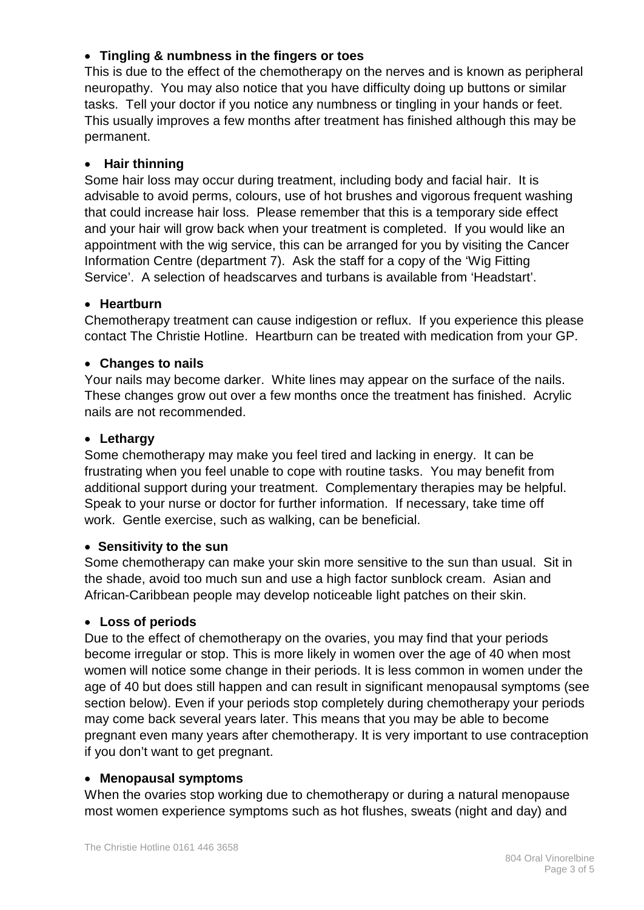### • **Tingling & numbness in the fingers or toes**

This is due to the effect of the chemotherapy on the nerves and is known as peripheral neuropathy. You may also notice that you have difficulty doing up buttons or similar tasks. Tell your doctor if you notice any numbness or tingling in your hands or feet. This usually improves a few months after treatment has finished although this may be permanent.

### • **Hair thinning**

Some hair loss may occur during treatment, including body and facial hair. It is advisable to avoid perms, colours, use of hot brushes and vigorous frequent washing that could increase hair loss. Please remember that this is a temporary side effect and your hair will grow back when your treatment is completed. If you would like an appointment with the wig service, this can be arranged for you by visiting the Cancer Information Centre (department 7). Ask the staff for a copy of the 'Wig Fitting Service'. A selection of headscarves and turbans is available from 'Headstart'.

# • **Heartburn**

Chemotherapy treatment can cause indigestion or reflux. If you experience this please contact The Christie Hotline. Heartburn can be treated with medication from your GP.

# • **Changes to nails**

Your nails may become darker. White lines may appear on the surface of the nails. These changes grow out over a few months once the treatment has finished. Acrylic nails are not recommended.

#### • **Lethargy**

Some chemotherapy may make you feel tired and lacking in energy. It can be frustrating when you feel unable to cope with routine tasks. You may benefit from additional support during your treatment. Complementary therapies may be helpful. Speak to your nurse or doctor for further information. If necessary, take time off work. Gentle exercise, such as walking, can be beneficial.

#### • **Sensitivity to the sun**

Some chemotherapy can make your skin more sensitive to the sun than usual. Sit in the shade, avoid too much sun and use a high factor sunblock cream. Asian and African-Caribbean people may develop noticeable light patches on their skin.

#### • **Loss of periods**

Due to the effect of chemotherapy on the ovaries, you may find that your periods become irregular or stop. This is more likely in women over the age of 40 when most women will notice some change in their periods. It is less common in women under the age of 40 but does still happen and can result in significant menopausal symptoms (see section below). Even if your periods stop completely during chemotherapy your periods may come back several years later. This means that you may be able to become pregnant even many years after chemotherapy. It is very important to use contraception if you don't want to get pregnant.

#### • **Menopausal symptoms**

When the ovaries stop working due to chemotherapy or during a natural menopause most women experience symptoms such as hot flushes, sweats (night and day) and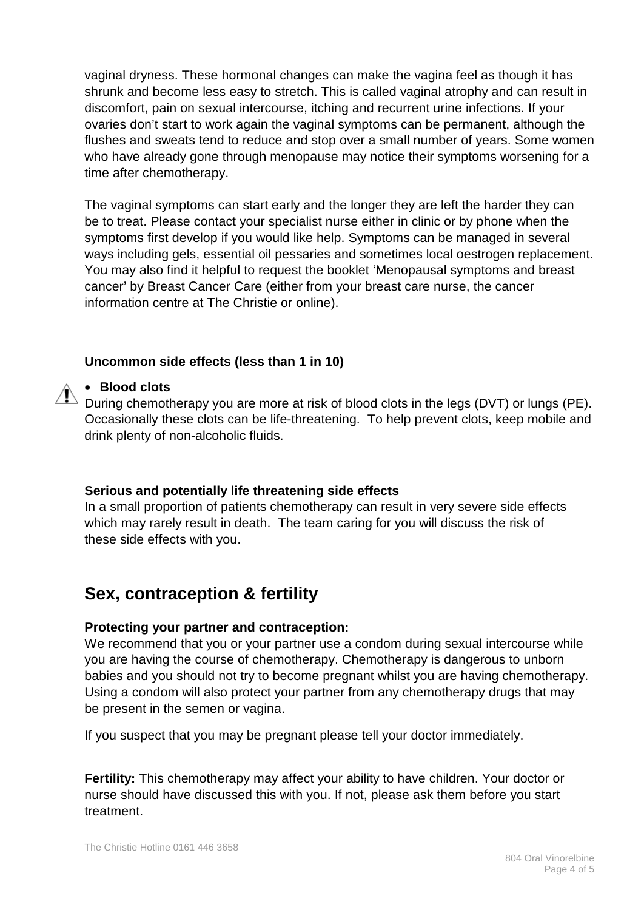vaginal dryness. These hormonal changes can make the vagina feel as though it has shrunk and become less easy to stretch. This is called vaginal atrophy and can result in discomfort, pain on sexual intercourse, itching and recurrent urine infections. If your ovaries don't start to work again the vaginal symptoms can be permanent, although the flushes and sweats tend to reduce and stop over a small number of years. Some women who have already gone through menopause may notice their symptoms worsening for a time after chemotherapy.

The vaginal symptoms can start early and the longer they are left the harder they can be to treat. Please contact your specialist nurse either in clinic or by phone when the symptoms first develop if you would like help. Symptoms can be managed in several ways including gels, essential oil pessaries and sometimes local oestrogen replacement. You may also find it helpful to request the booklet 'Menopausal symptoms and breast cancer' by Breast Cancer Care (either from your breast care nurse, the cancer information centre at The Christie or online).

#### **Uncommon side effects (less than 1 in 10)**

#### • **Blood clots**

 $\triangle$  During chemotherapy you are more at risk of blood clots in the legs (DVT) or lungs (PE). Occasionally these clots can be life-threatening. To help prevent clots, keep mobile and drink plenty of non-alcoholic fluids.

#### **Serious and potentially life threatening side effects**

In a small proportion of patients chemotherapy can result in very severe side effects which may rarely result in death. The team caring for you will discuss the risk of these side effects with you.

# **Sex, contraception & fertility**

#### **Protecting your partner and contraception:**

We recommend that you or your partner use a condom during sexual intercourse while you are having the course of chemotherapy. Chemotherapy is dangerous to unborn babies and you should not try to become pregnant whilst you are having chemotherapy. Using a condom will also protect your partner from any chemotherapy drugs that may be present in the semen or vagina.

If you suspect that you may be pregnant please tell your doctor immediately.

**Fertility:** This chemotherapy may affect your ability to have children. Your doctor or nurse should have discussed this with you. If not, please ask them before you start treatment.